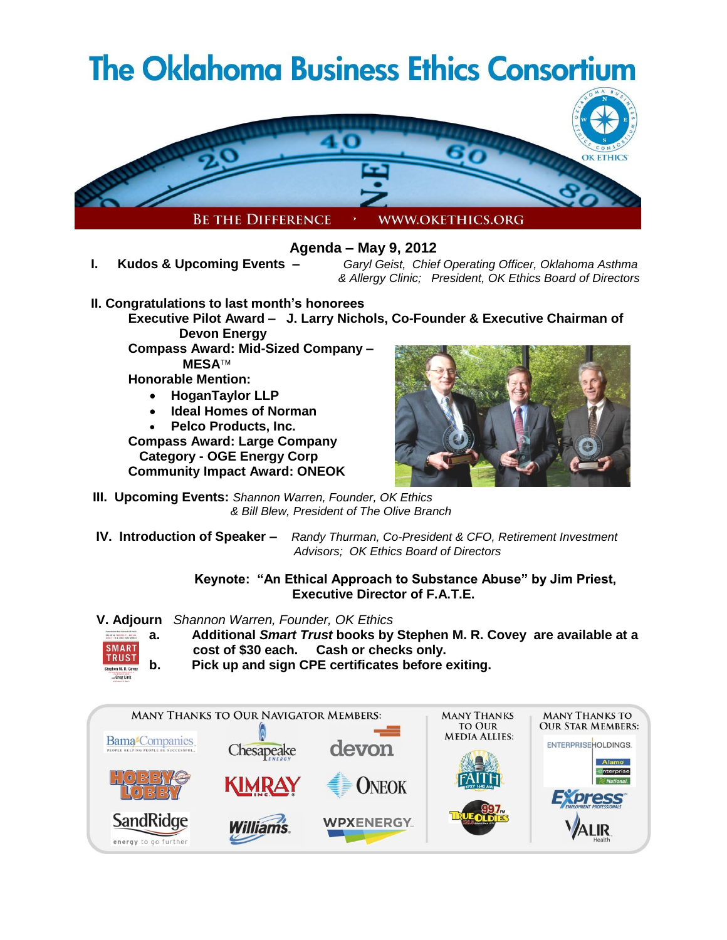# **The Oklahoma Business Ethics Consortium**



**Agenda – May 9, 2012**

**I. Kudos & Upcoming Events –** *Garyl Geist, Chief Operating Officer, Oklahoma Asthma & Allergy Clinic; President, OK Ethics Board of Directors*

- **II. Congratulations to last month's honorees**
	- **Executive Pilot Award J. Larry Nichols, Co-Founder & Executive Chairman of Devon Energy**
		- **Compass Award: Mid-Sized Company – MESA**

**Honorable Mention:**

- **HoganTaylor LLP**
- **Ideal Homes of Norman**
- **Pelco Products, Inc.**

**Compass Award: Large Company Category - OGE Energy Corp Community Impact Award: ONEOK** 



- **III. Upcoming Events:** *Shannon Warren, Founder, OK Ethics & Bill Blew, President of The Olive Branch*
- **IV. Introduction of Speaker** *Randy Thurman, Co-President & CFO, Retirement Investment Advisors; OK Ethics Board of Directors*

**Keynote: "An Ethical Approach to Substance Abuse" by Jim Priest, Executive Director of F.A.T.E.**

 **V. Adjourn** *Shannon Warren, Founder, OK Ethics*



- **a. Additional** *Smart Trust* **books by Stephen M. R. Covey are available at a cost of \$30 each. Cash or checks only.**
- **b. Pick up and sign CPE certificates before exiting.**

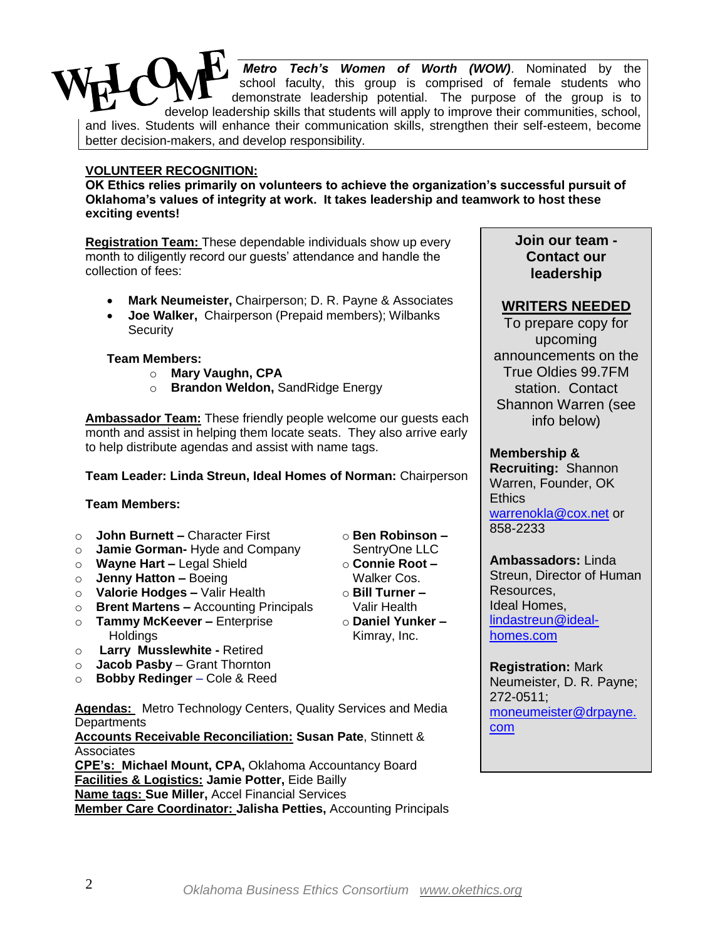*Metro Tech's Women of Worth (WOW)*. Nominated by the school faculty, this group is comprised of female students who demonstrate leadership potential. The purpose of the group is to develop leadership skills that students will apply to improve their communities, school, and lives. Students will enhance their communication skills, strengthen their self-esteem, become better decision-makers, and develop responsibility.

#### **VOLUNTEER RECOGNITION:**

**OK Ethics relies primarily on volunteers to achieve the organization's successful pursuit of Oklahoma's values of integrity at work. It takes leadership and teamwork to host these exciting events!**

**Registration Team:** These dependable individuals show up every month to diligently record our quests' attendance and handle the collection of fees:

- **Mark Neumeister,** Chairperson; D. R. Payne & Associates
- **Joe Walker,** Chairperson (Prepaid members); Wilbanks **Security**

#### **Team Members:**

- o **Mary Vaughn, CPA**
- o **Brandon Weldon,** SandRidge Energy

**Ambassador Team:** These friendly people welcome our guests each month and assist in helping them locate seats. They also arrive early to help distribute agendas and assist with name tags.

#### **Team Leader: Linda Streun, Ideal Homes of Norman:** Chairperson

#### **Team Members:**

- o **John Burnett –** Character First
- o **Jamie Gorman-** Hyde and Company
- o **Wayne Hart –** Legal Shield
- o **Jenny Hatton –** Boeing
- o **Valorie Hodges –** Valir Health
- o **Brent Martens –** Accounting Principals
- o **Tammy McKeever –** Enterprise Holdings
- o **Larry Musslewhite -** Retired
- o **Jacob Pasby**  Grant Thornton
- o **Bobby Redinger** Cole & Reed

**Agendas:** Metro Technology Centers, Quality Services and Media **Departments** 

**Accounts Receivable Reconciliation: Susan Pate**, Stinnett & **Associates** 

**CPE's: Michael Mount, CPA,** Oklahoma Accountancy Board **Facilities & Logistics: Jamie Potter,** Eide Bailly **Name tags: Sue Miller,** Accel Financial Services **Member Care Coordinator: Jalisha Petties,** Accounting Principals

o **Ben Robinson –**

- SentryOne LLC o **Connie Root –**
- Walker Cos. o **Bill Turner –** Valir Health
- o **Daniel Yunker –** Kimray, Inc.

## **Join our team - Contact our leadership**

## **WRITERS NEEDED**

To prepare copy for upcoming announcements on the True Oldies 99.7FM station. Contact Shannon Warren (see info below)

#### **Membership &**

**Recruiting:** Shannon Warren, Founder, OK **Ethics** [warrenokla@cox.net](mailto:warrenokla@cox.net) or 858-2233

**Ambassadors:** Linda Streun, Director of Human Resources, Ideal Homes, [lindastreun@ideal](mailto:lindastreun@ideal-homes.com)[homes.com](mailto:lindastreun@ideal-homes.com)

**Registration:** Mark Neumeister, D. R. Payne; 272-0511; [moneumeister@drpayne.](mailto:moneumeister@drpayne.com) [com](mailto:moneumeister@drpayne.com)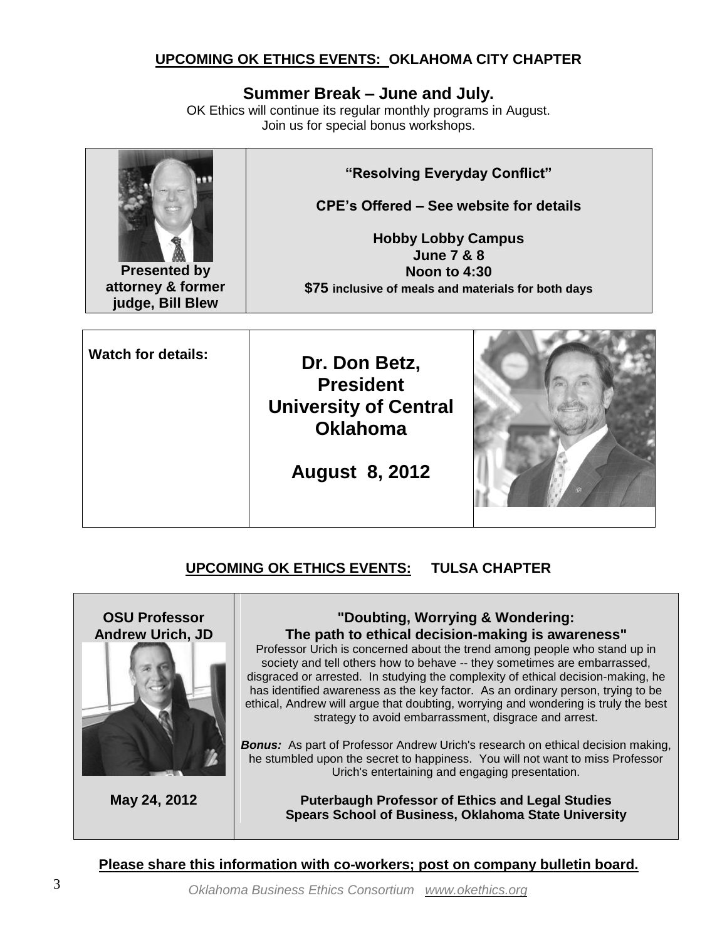# **UPCOMING OK ETHICS EVENTS: OKLAHOMA CITY CHAPTER**

# **Summer Break – June and July.**

OK Ethics will continue its regular monthly programs in August. Join us for special bonus workshops.



**Presented by attorney & former judge, Bill Blew**

**"Resolving Everyday Conflict"** 

**CPE's Offered – See website for details**

**Hobby Lobby Campus June 7 & 8 Noon to 4:30 \$75 inclusive of meals and materials for both days**

| <b>Watch for details:</b> | Dr. Don Betz,<br><b>President</b><br><b>University of Central</b><br><b>Oklahoma</b> |  |
|---------------------------|--------------------------------------------------------------------------------------|--|
|                           | <b>August 8, 2012</b>                                                                |  |
|                           |                                                                                      |  |

# **UPCOMING OK ETHICS EVENTS: TULSA CHAPTER**



**May 24, 2012**

#### **"Doubting, Worrying & Wondering: The path to ethical decision-making is awareness"**

Professor Urich is concerned about the trend among people who stand up in society and tell others how to behave -- they sometimes are embarrassed, disgraced or arrested. In studying the complexity of ethical decision-making, he has identified awareness as the key factor. As an ordinary person, trying to be ethical, Andrew will argue that doubting, worrying and wondering is truly the best strategy to avoid embarrassment, disgrace and arrest.

*Bonus:* As part of Professor Andrew Urich's research on ethical decision making, he stumbled upon the secret to happiness. You will not want to miss Professor Urich's entertaining and engaging presentation.

> **Puterbaugh Professor of Ethics and Legal Studies Spears School of Business, Oklahoma State University**

**Please share this information with co-workers; post on company bulletin board.**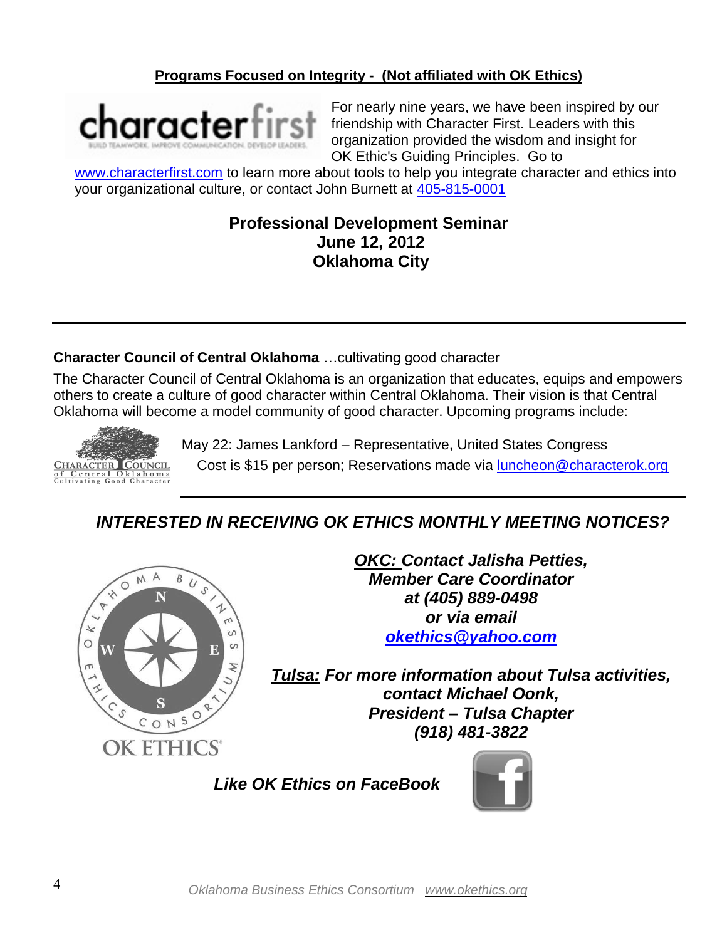# **Programs Focused on Integrity - (Not affiliated with OK Ethics)**



For nearly nine years, we have been inspired by our friendship with Character First. Leaders with this organization provided the wisdom and insight for OK Ethic's Guiding Principles. Go to

[www.characterfirst.com](http://www.characterfirst.com/) to learn more about tools to help you integrate character and ethics into your organizational culture, or contact John Burnett at [405-815-0001](tel:405-815-0001)

# **Professional Development Seminar June 12, 2012 Oklahoma City**

# **Character Council of Central Oklahoma** …cultivating good character

The Character Council of Central Oklahoma is an organization that educates, equips and empowers others to create a culture of good character within Central Oklahoma. Their vision is that Central Oklahoma will become a model community of good character. Upcoming programs include:



May 22: James Lankford – Representative, United States Congress

Cost is \$15 per person; Reservations made via [luncheon@characterok.org](mailto:luncheon@characterok.org)

# *INTERESTED IN RECEIVING OK ETHICS MONTHLY MEETING NOTICES?*



*OKC: Contact Jalisha Petties, Member Care Coordinator at (405) 889-0498 or via email [okethics@yahoo.com](mailto:okethics@yahoo.com)*

*Tulsa: For more information about Tulsa activities, contact Michael Oonk, President – Tulsa Chapter (918) 481-3822*

 *Like OK Ethics on FaceBook* 

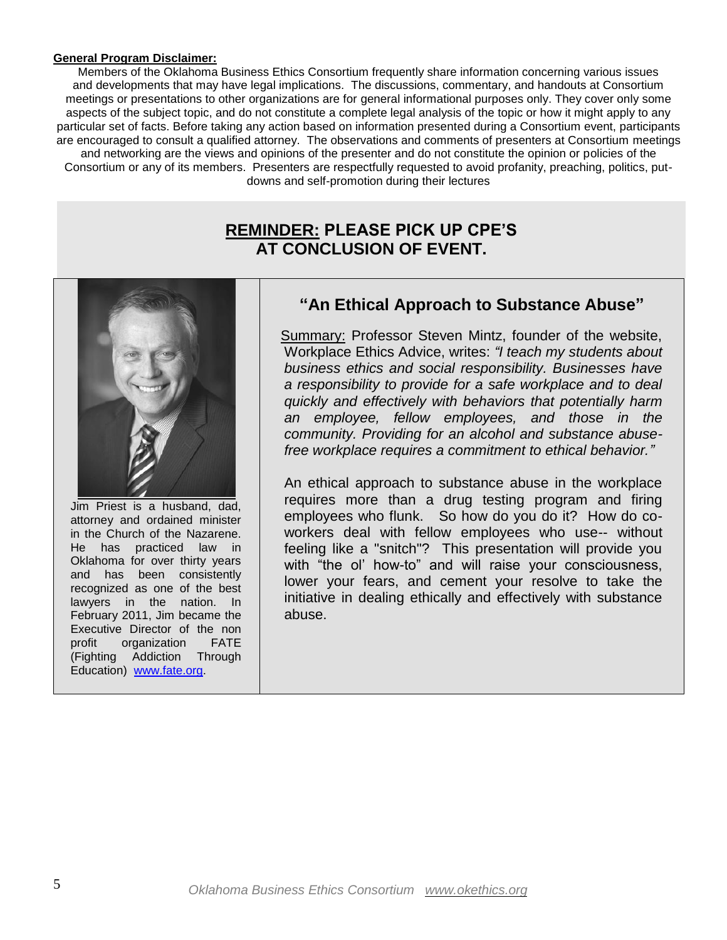#### **General Program Disclaimer:**

Members of the Oklahoma Business Ethics Consortium frequently share information concerning various issues and developments that may have legal implications. The discussions, commentary, and handouts at Consortium meetings or presentations to other organizations are for general informational purposes only. They cover only some aspects of the subject topic, and do not constitute a complete legal analysis of the topic or how it might apply to any particular set of facts. Before taking any action based on information presented during a Consortium event, participants are encouraged to consult a qualified attorney. The observations and comments of presenters at Consortium meetings and networking are the views and opinions of the presenter and do not constitute the opinion or policies of the Consortium or any of its members. Presenters are respectfully requested to avoid profanity, preaching, politics, putdowns and self-promotion during their lectures

# **REMINDER: PLEASE PICK UP CPE'S AT CONCLUSION OF EVENT.**



Jim Priest is a husband, dad, attorney and ordained minister in the Church of the Nazarene. He has practiced law in Oklahoma for over thirty years and has been consistently recognized as one of the best lawyers in the nation. In February 2011, Jim became the Executive Director of the non profit organization FATE (Fighting Addiction Through Education) [www.fate.org.](http://www.fate.org/)

# **"An Ethical Approach to Substance Abuse"**

Summary: Professor Steven Mintz, founder of the website, Workplace Ethics Advice, writes: *"I teach my students about business ethics and social responsibility. Businesses have a responsibility to provide for a safe workplace and to deal quickly and effectively with behaviors that potentially harm an employee, fellow employees, and those in the community. Providing for an alcohol and substance abusefree workplace requires a commitment to ethical behavior."*

An ethical approach to substance abuse in the workplace requires more than a drug testing program and firing employees who flunk. So how do you do it? How do coworkers deal with fellow employees who use-- without feeling like a "snitch"? This presentation will provide you with "the ol' how-to" and will raise your consciousness, lower your fears, and cement your resolve to take the initiative in dealing ethically and effectively with substance abuse.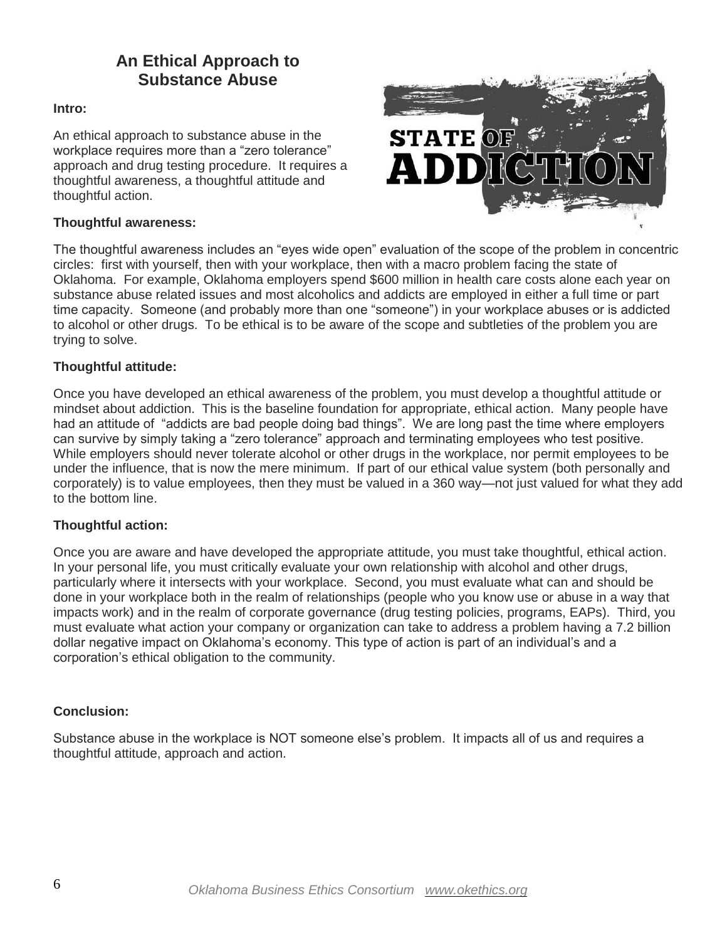# **An Ethical Approach to Substance Abuse**

#### **Intro:**

An ethical approach to substance abuse in the workplace requires more than a "zero tolerance" approach and drug testing procedure. It requires a thoughtful awareness, a thoughtful attitude and thoughtful action.



#### **Thoughtful awareness:**

The thoughtful awareness includes an "eyes wide open" evaluation of the scope of the problem in concentric circles: first with yourself, then with your workplace, then with a macro problem facing the state of Oklahoma. For example, Oklahoma employers spend \$600 million in health care costs alone each year on substance abuse related issues and most alcoholics and addicts are employed in either a full time or part time capacity. Someone (and probably more than one "someone") in your workplace abuses or is addicted to alcohol or other drugs. To be ethical is to be aware of the scope and subtleties of the problem you are trying to solve.

#### **Thoughtful attitude:**

Once you have developed an ethical awareness of the problem, you must develop a thoughtful attitude or mindset about addiction. This is the baseline foundation for appropriate, ethical action. Many people have had an attitude of "addicts are bad people doing bad things". We are long past the time where employers can survive by simply taking a "zero tolerance" approach and terminating employees who test positive. While employers should never tolerate alcohol or other drugs in the workplace, nor permit employees to be under the influence, that is now the mere minimum. If part of our ethical value system (both personally and corporately) is to value employees, then they must be valued in a 360 way—not just valued for what they add to the bottom line.

#### **Thoughtful action:**

Once you are aware and have developed the appropriate attitude, you must take thoughtful, ethical action. In your personal life, you must critically evaluate your own relationship with alcohol and other drugs, particularly where it intersects with your workplace. Second, you must evaluate what can and should be done in your workplace both in the realm of relationships (people who you know use or abuse in a way that impacts work) and in the realm of corporate governance (drug testing policies, programs, EAPs). Third, you must evaluate what action your company or organization can take to address a problem having a 7.2 billion dollar negative impact on Oklahoma's economy. This type of action is part of an individual's and a corporation's ethical obligation to the community.

#### **Conclusion:**

Substance abuse in the workplace is NOT someone else's problem. It impacts all of us and requires a thoughtful attitude, approach and action.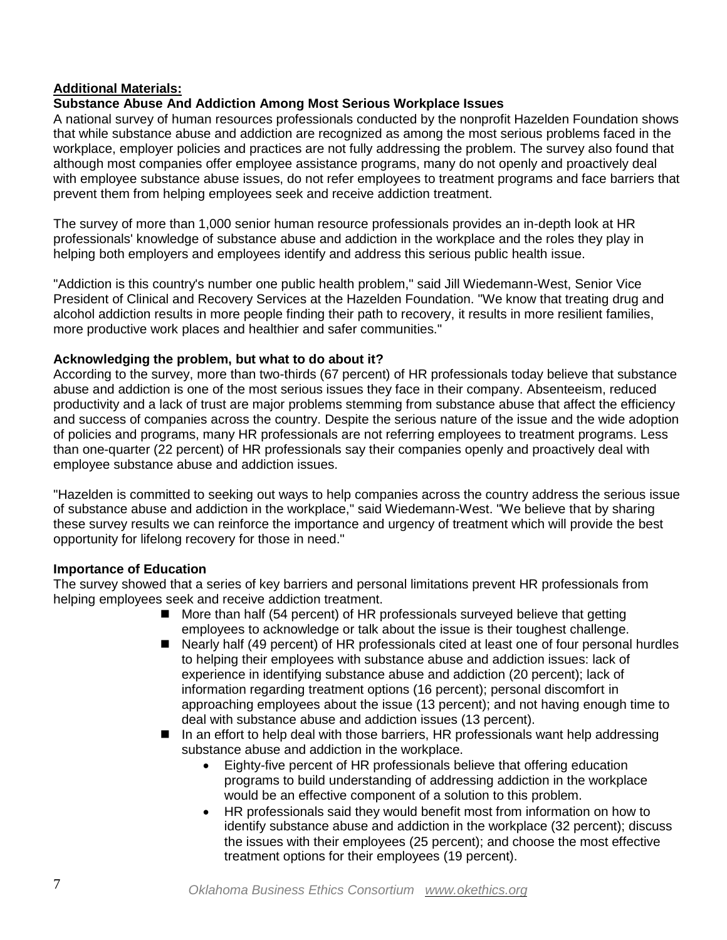#### **Additional Materials:**

#### **Substance Abuse And Addiction Among Most Serious Workplace Issues**

A national survey of human resources professionals conducted by the nonprofit Hazelden Foundation shows that while substance abuse and addiction are recognized as among the most serious problems faced in the workplace, employer policies and practices are not fully addressing the problem. The survey also found that although most companies offer employee assistance programs, many do not openly and proactively deal with employee substance abuse issues, do not refer employees to treatment programs and face barriers that prevent them from helping employees seek and receive addiction treatment.

The survey of more than 1,000 senior human resource professionals provides an in-depth look at HR professionals' knowledge of substance abuse and addiction in the workplace and the roles they play in helping both employers and employees identify and address this serious public health issue.

"Addiction is this country's number one public health problem," said Jill Wiedemann-West, Senior Vice President of Clinical and Recovery Services at the Hazelden Foundation. "We know that treating drug and alcohol addiction results in more people finding their path to recovery, it results in more resilient families, more productive work places and healthier and safer communities."

#### **Acknowledging the problem, but what to do about it?**

According to the survey, more than two-thirds (67 percent) of HR professionals today believe that substance abuse and addiction is one of the most serious issues they face in their company. Absenteeism, reduced productivity and a lack of trust are major problems stemming from substance abuse that affect the efficiency and success of companies across the country. Despite the serious nature of the issue and the wide adoption of policies and programs, many HR professionals are not referring employees to treatment programs. Less than one-quarter (22 percent) of HR professionals say their companies openly and proactively deal with employee substance abuse and addiction issues.

"Hazelden is committed to seeking out ways to help companies across the country address the serious issue of substance abuse and addiction in the workplace," said Wiedemann-West. "We believe that by sharing these survey results we can reinforce the importance and urgency of treatment which will provide the best opportunity for lifelong recovery for those in need."

#### **Importance of Education**

The survey showed that a series of key barriers and personal limitations prevent HR professionals from helping employees seek and receive addiction treatment.

- More than half (54 percent) of HR professionals surveyed believe that getting employees to acknowledge or talk about the issue is their toughest challenge.
- Nearly half (49 percent) of HR professionals cited at least one of four personal hurdles to helping their employees with substance abuse and addiction issues: lack of experience in identifying substance abuse and addiction (20 percent); lack of information regarding treatment options (16 percent); personal discomfort in approaching employees about the issue (13 percent); and not having enough time to deal with substance abuse and addiction issues (13 percent).
- In an effort to help deal with those barriers, HR professionals want help addressing substance abuse and addiction in the workplace.
	- Eighty-five percent of HR professionals believe that offering education programs to build understanding of addressing addiction in the workplace would be an effective component of a solution to this problem.
	- HR professionals said they would benefit most from information on how to identify substance abuse and addiction in the workplace (32 percent); discuss the issues with their employees (25 percent); and choose the most effective treatment options for their employees (19 percent).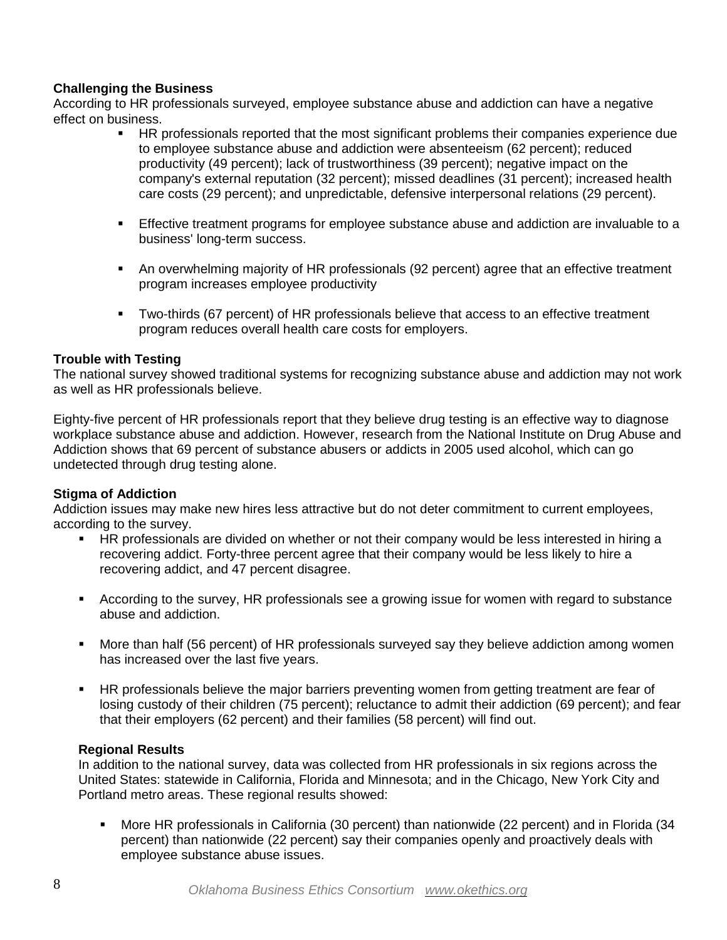### **Challenging the Business**

According to HR professionals surveyed, employee substance abuse and addiction can have a negative effect on business.

- HR professionals reported that the most significant problems their companies experience due to employee substance abuse and addiction were absenteeism (62 percent); reduced productivity (49 percent); lack of trustworthiness (39 percent); negative impact on the company's external reputation (32 percent); missed deadlines (31 percent); increased health care costs (29 percent); and unpredictable, defensive interpersonal relations (29 percent).
- Effective treatment programs for employee substance abuse and addiction are invaluable to a business' long-term success.
- An overwhelming majority of HR professionals (92 percent) agree that an effective treatment program increases employee productivity
- Two-thirds (67 percent) of HR professionals believe that access to an effective treatment program reduces overall health care costs for employers.

#### **Trouble with Testing**

The national survey showed traditional systems for recognizing substance abuse and addiction may not work as well as HR professionals believe.

Eighty-five percent of HR professionals report that they believe drug testing is an effective way to diagnose workplace substance abuse and addiction. However, research from the National Institute on Drug Abuse and Addiction shows that 69 percent of substance abusers or addicts in 2005 used alcohol, which can go undetected through drug testing alone.

#### **Stigma of Addiction**

Addiction issues may make new hires less attractive but do not deter commitment to current employees, according to the survey.

- **HR professionals are divided on whether or not their company would be less interested in hiring a** recovering addict. Forty-three percent agree that their company would be less likely to hire a recovering addict, and 47 percent disagree.
- According to the survey, HR professionals see a growing issue for women with regard to substance abuse and addiction.
- More than half (56 percent) of HR professionals surveyed say they believe addiction among women has increased over the last five years.
- HR professionals believe the major barriers preventing women from getting treatment are fear of losing custody of their children (75 percent); reluctance to admit their addiction (69 percent); and fear that their employers (62 percent) and their families (58 percent) will find out.

#### **Regional Results**

In addition to the national survey, data was collected from HR professionals in six regions across the United States: statewide in California, Florida and Minnesota; and in the Chicago, New York City and Portland metro areas. These regional results showed:

 More HR professionals in California (30 percent) than nationwide (22 percent) and in Florida (34 percent) than nationwide (22 percent) say their companies openly and proactively deals with employee substance abuse issues.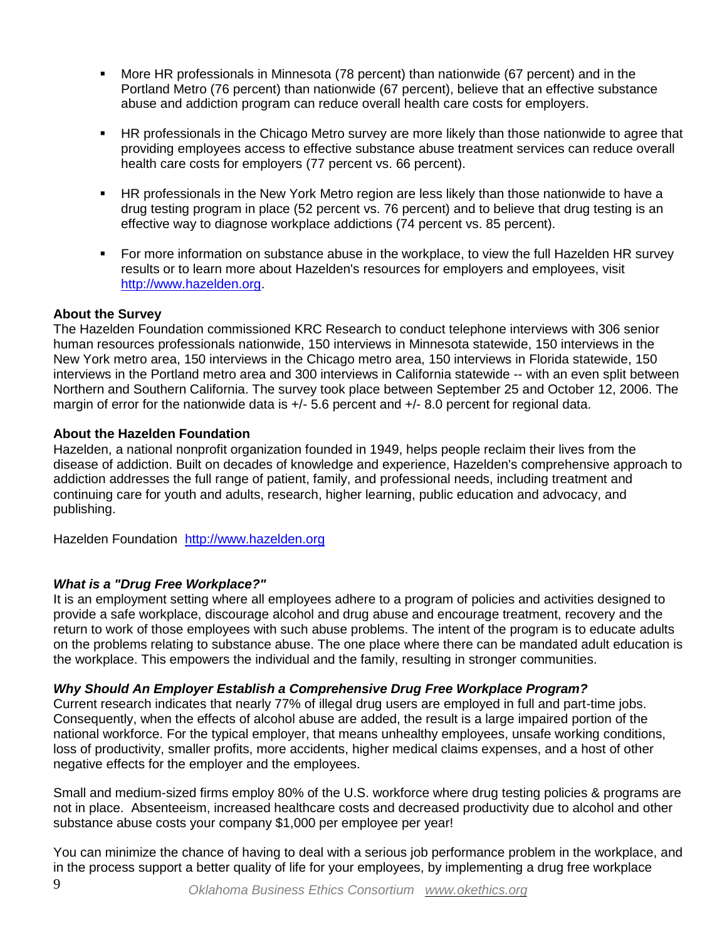- More HR professionals in Minnesota (78 percent) than nationwide (67 percent) and in the Portland Metro (76 percent) than nationwide (67 percent), believe that an effective substance abuse and addiction program can reduce overall health care costs for employers.
- HR professionals in the Chicago Metro survey are more likely than those nationwide to agree that providing employees access to effective substance abuse treatment services can reduce overall health care costs for employers (77 percent vs. 66 percent).
- HR professionals in the New York Metro region are less likely than those nationwide to have a drug testing program in place (52 percent vs. 76 percent) and to believe that drug testing is an effective way to diagnose workplace addictions (74 percent vs. 85 percent).
- For more information on substance abuse in the workplace, to view the full Hazelden HR survey results or to learn more about Hazelden's resources for employers and employees, visit [http://www.hazelden.org.](http://www.hazelden.org/)

#### **About the Survey**

The Hazelden Foundation commissioned KRC Research to conduct telephone interviews with 306 senior human resources professionals nationwide, 150 interviews in Minnesota statewide, 150 interviews in the New York metro area, 150 interviews in the Chicago metro area, 150 interviews in Florida statewide, 150 interviews in the Portland metro area and 300 interviews in California statewide -- with an even split between Northern and Southern California. The survey took place between September 25 and October 12, 2006. The margin of error for the nationwide data is  $+/-5.6$  percent and  $+/-8.0$  percent for regional data.

#### **About the Hazelden Foundation**

Hazelden, a national nonprofit organization founded in 1949, helps people reclaim their lives from the disease of addiction. Built on decades of knowledge and experience, Hazelden's comprehensive approach to addiction addresses the full range of patient, family, and professional needs, including treatment and continuing care for youth and adults, research, higher learning, public education and advocacy, and publishing.

Hazelden Foundation [http://www.hazelden.org](http://www.hazelden.org/)

## *What is a "Drug Free Workplace?"*

It is an employment setting where all employees adhere to a program of policies and activities designed to provide a safe workplace, discourage alcohol and drug abuse and encourage treatment, recovery and the return to work of those employees with such abuse problems. The intent of the program is to educate adults on the problems relating to substance abuse. The one place where there can be mandated adult education is the workplace. This empowers the individual and the family, resulting in stronger communities.

## *Why Should An Employer Establish a Comprehensive Drug Free Workplace Program?*

Current research indicates that nearly 77% of illegal drug users are employed in full and part-time jobs. Consequently, when the effects of alcohol abuse are added, the result is a large impaired portion of the national workforce. For the typical employer, that means unhealthy employees, unsafe working conditions, loss of productivity, smaller profits, more accidents, higher medical claims expenses, and a host of other negative effects for the employer and the employees.

Small and medium-sized firms employ 80% of the U.S. workforce where drug testing policies & programs are not in place. Absenteeism, increased healthcare costs and decreased productivity due to alcohol and other substance abuse costs your company \$1,000 per employee per year!

You can minimize the chance of having to deal with a serious job performance problem in the workplace, and in the process support a better quality of life for your employees, by implementing a drug free workplace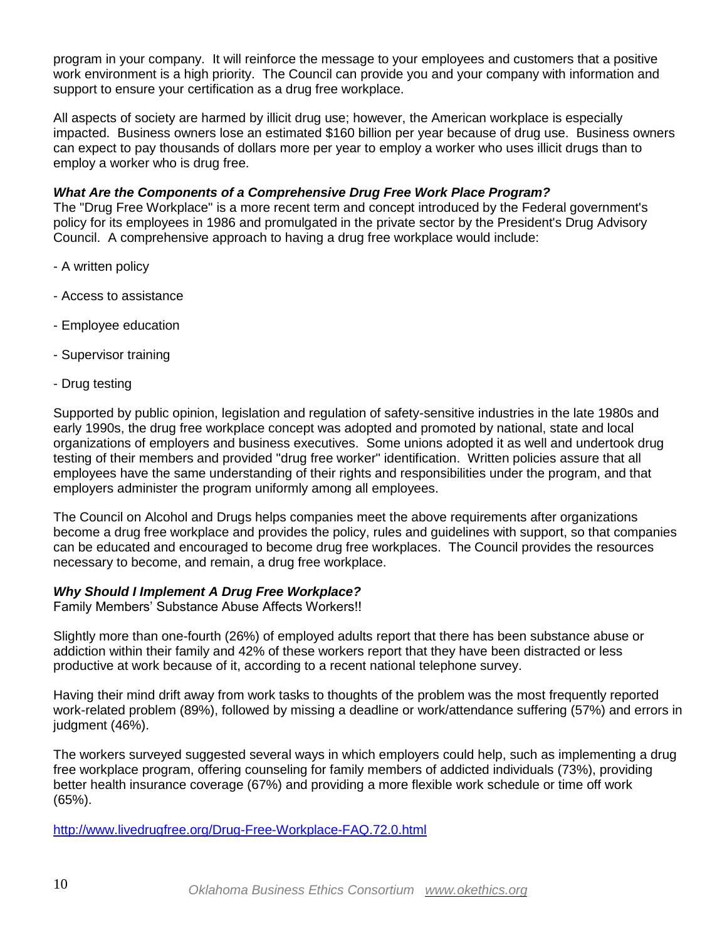program in your company. It will reinforce the message to your employees and customers that a positive work environment is a high priority. The Council can provide you and your company with information and support to ensure your certification as a drug free workplace.

All aspects of society are harmed by illicit drug use; however, the American workplace is especially impacted. Business owners lose an estimated \$160 billion per year because of drug use. Business owners can expect to pay thousands of dollars more per year to employ a worker who uses illicit drugs than to employ a worker who is drug free.

#### *What Are the Components of a Comprehensive Drug Free Work Place Program?*

The "Drug Free Workplace" is a more recent term and concept introduced by the Federal government's policy for its employees in 1986 and promulgated in the private sector by the President's Drug Advisory Council. A comprehensive approach to having a drug free workplace would include:

- A written policy
- Access to assistance
- Employee education
- Supervisor training
- Drug testing

Supported by public opinion, legislation and regulation of safety-sensitive industries in the late 1980s and early 1990s, the drug free workplace concept was adopted and promoted by national, state and local organizations of employers and business executives. Some unions adopted it as well and undertook drug testing of their members and provided "drug free worker" identification. Written policies assure that all employees have the same understanding of their rights and responsibilities under the program, and that employers administer the program uniformly among all employees.

The Council on Alcohol and Drugs helps companies meet the above requirements after organizations become a drug free workplace and provides the policy, rules and guidelines with support, so that companies can be educated and encouraged to become drug free workplaces. The Council provides the resources necessary to become, and remain, a drug free workplace.

#### *Why Should I Implement A Drug Free Workplace?*

Family Members' Substance Abuse Affects Workers!!

Slightly more than one-fourth (26%) of employed adults report that there has been substance abuse or addiction within their family and 42% of these workers report that they have been distracted or less productive at work because of it, according to a recent national telephone survey.

Having their mind drift away from work tasks to thoughts of the problem was the most frequently reported work-related problem (89%), followed by missing a deadline or work/attendance suffering (57%) and errors in judgment (46%).

The workers surveyed suggested several ways in which employers could help, such as implementing a drug free workplace program, offering counseling for family members of addicted individuals (73%), providing better health insurance coverage (67%) and providing a more flexible work schedule or time off work (65%).

<http://www.livedrugfree.org/Drug-Free-Workplace-FAQ.72.0.html>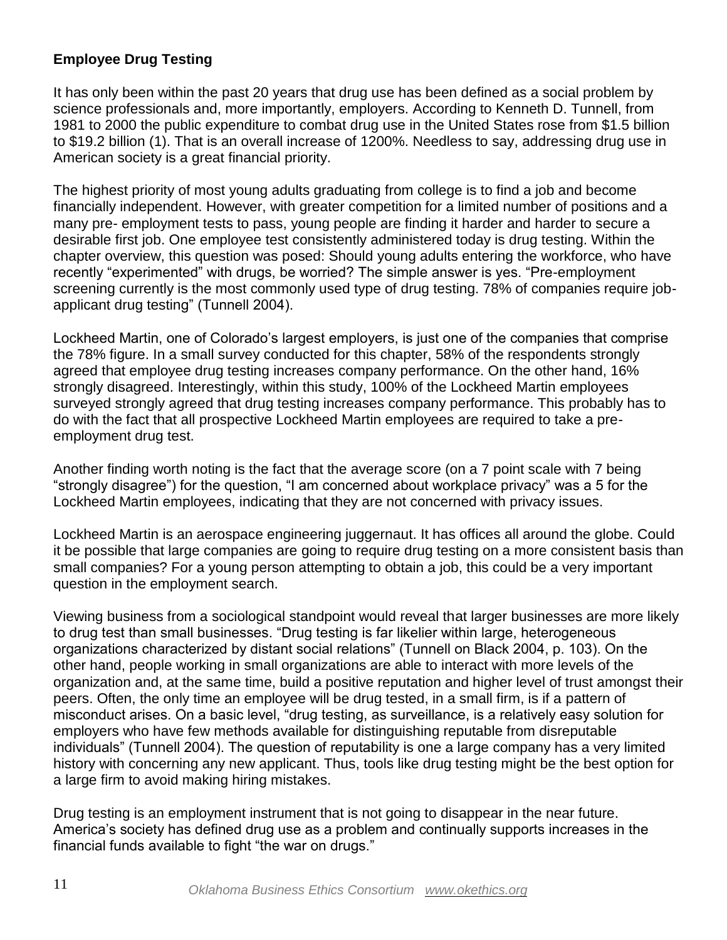# **Employee Drug Testing**

It has only been within the past 20 years that drug use has been defined as a social problem by science professionals and, more importantly, employers. According to Kenneth D. Tunnell, from 1981 to 2000 the public expenditure to combat drug use in the United States rose from \$1.5 billion to \$19.2 billion (1). That is an overall increase of 1200%. Needless to say, addressing drug use in American society is a great financial priority.

The highest priority of most young adults graduating from college is to find a job and become financially independent. However, with greater competition for a limited number of positions and a many pre- employment tests to pass, young people are finding it harder and harder to secure a desirable first job. One employee test consistently administered today is drug testing. Within the chapter overview, this question was posed: Should young adults entering the workforce, who have recently "experimented" with drugs, be worried? The simple answer is yes. "Pre-employment screening currently is the most commonly used type of drug testing. 78% of companies require jobapplicant drug testing" (Tunnell 2004).

Lockheed Martin, one of Colorado's largest employers, is just one of the companies that comprise the 78% figure. In a small survey conducted for this chapter, 58% of the respondents strongly agreed that employee drug testing increases company performance. On the other hand, 16% strongly disagreed. Interestingly, within this study, 100% of the Lockheed Martin employees surveyed strongly agreed that drug testing increases company performance. This probably has to do with the fact that all prospective Lockheed Martin employees are required to take a preemployment drug test.

Another finding worth noting is the fact that the average score (on a 7 point scale with 7 being "strongly disagree") for the question, "I am concerned about workplace privacy" was a 5 for the Lockheed Martin employees, indicating that they are not concerned with privacy issues.

Lockheed Martin is an aerospace engineering juggernaut. It has offices all around the globe. Could it be possible that large companies are going to require drug testing on a more consistent basis than small companies? For a young person attempting to obtain a job, this could be a very important question in the employment search.

Viewing business from a sociological standpoint would reveal that larger businesses are more likely to drug test than small businesses. "Drug testing is far likelier within large, heterogeneous organizations characterized by distant social relations" (Tunnell on Black 2004, p. 103). On the other hand, people working in small organizations are able to interact with more levels of the organization and, at the same time, build a positive reputation and higher level of trust amongst their peers. Often, the only time an employee will be drug tested, in a small firm, is if a pattern of misconduct arises. On a basic level, "drug testing, as surveillance, is a relatively easy solution for employers who have few methods available for distinguishing reputable from disreputable individuals‖ (Tunnell 2004). The question of reputability is one a large company has a very limited history with concerning any new applicant. Thus, tools like drug testing might be the best option for a large firm to avoid making hiring mistakes.

Drug testing is an employment instrument that is not going to disappear in the near future. America's society has defined drug use as a problem and continually supports increases in the financial funds available to fight "the war on drugs."